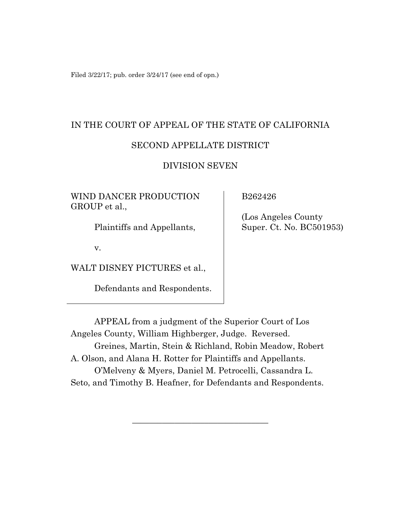Filed 3/22/17; pub. order 3/24/17 (see end of opn.)

# IN THE COURT OF APPEAL OF THE STATE OF CALIFORNIA SECOND APPELLATE DISTRICT

## DIVISION SEVEN

WIND DANCER PRODUCTION GROUP et al.,

Plaintiffs and Appellants,

v.

WALT DISNEY PICTURES et al.,

Defendants and Respondents.

B262426

 (Los Angeles County Super. Ct. No. BC501953)

APPEAL from a judgment of the Superior Court of Los Angeles County, William Highberger, Judge. Reversed. Greines, Martin, Stein & Richland, Robin Meadow, Robert A. Olson, and Alana H. Rotter for Plaintiffs and Appellants. O'Melveny & Myers, Daniel M. Petrocelli, Cassandra L. Seto, and Timothy B. Heafner, for Defendants and Respondents.

\_\_\_\_\_\_\_\_\_\_\_\_\_\_\_\_\_\_\_\_\_\_\_\_\_\_\_\_\_\_\_\_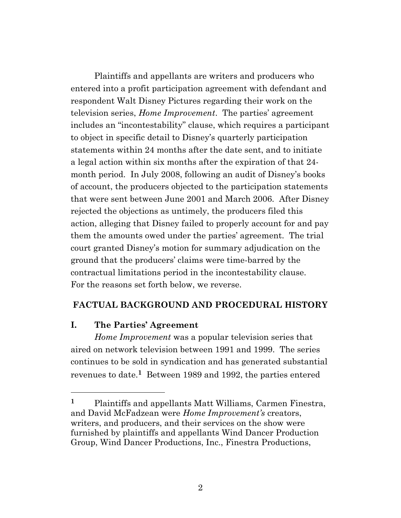Plaintiffs and appellants are writers and producers who entered into a profit participation agreement with defendant and respondent Walt Disney Pictures regarding their work on the television series, *Home Improvement*. The parties' agreement includes an "incontestability" clause, which requires a participant to object in specific detail to Disney's quarterly participation statements within 24 months after the date sent, and to initiate a legal action within six months after the expiration of that 24 month period. In July 2008, following an audit of Disney's books of account, the producers objected to the participation statements that were sent between June 2001 and March 2006. After Disney rejected the objections as untimely, the producers filed this action, alleging that Disney failed to properly account for and pay them the amounts owed under the parties' agreement. The trial court granted Disney's motion for summary adjudication on the ground that the producers' claims were time-barred by the contractual limitations period in the incontestability clause. For the reasons set forth below, we reverse.

# **FACTUAL BACKGROUND AND PROCEDURAL HISTORY**

# **I. The Parties' Agreement**

*Home Improvement* was a popular television series that aired on network television between 1991 and 1999. The series continues to be sold in syndication and has generated substantial revenues to date. **<sup>1</sup>** Between 1989 and 1992, the parties entered

**<sup>1</sup>** Plaintiffs and appellants Matt Williams, Carmen Finestra, and David McFadzean were *Home Improvement's* creators, writers, and producers, and their services on the show were furnished by plaintiffs and appellants Wind Dancer Production Group, Wind Dancer Productions, Inc., Finestra Productions,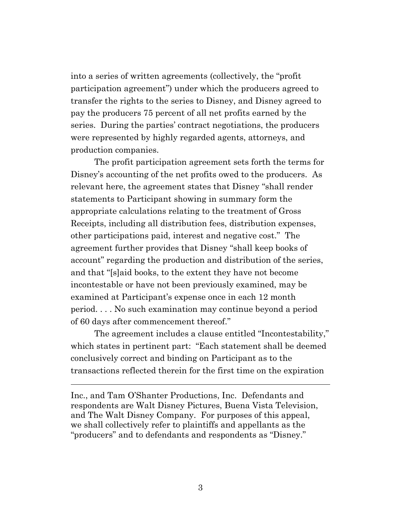into a series of written agreements (collectively, the "profit participation agreement") under which the producers agreed to transfer the rights to the series to Disney, and Disney agreed to pay the producers 75 percent of all net profits earned by the series. During the parties' contract negotiations, the producers were represented by highly regarded agents, attorneys, and production companies.

The profit participation agreement sets forth the terms for Disney's accounting of the net profits owed to the producers. As relevant here, the agreement states that Disney "shall render statements to Participant showing in summary form the appropriate calculations relating to the treatment of Gross Receipts, including all distribution fees, distribution expenses, other participations paid, interest and negative cost." The agreement further provides that Disney "shall keep books of account" regarding the production and distribution of the series, and that "[s]aid books, to the extent they have not become incontestable or have not been previously examined, may be examined at Participant's expense once in each 12 month period. . . . No such examination may continue beyond a period of 60 days after commencement thereof."

The agreement includes a clause entitled "Incontestability," which states in pertinent part: "Each statement shall be deemed conclusively correct and binding on Participant as to the transactions reflected therein for the first time on the expiration

Inc., and Tam O'Shanter Productions, Inc. Defendants and respondents are Walt Disney Pictures, Buena Vista Television, and The Walt Disney Company. For purposes of this appeal, we shall collectively refer to plaintiffs and appellants as the "producers" and to defendants and respondents as "Disney."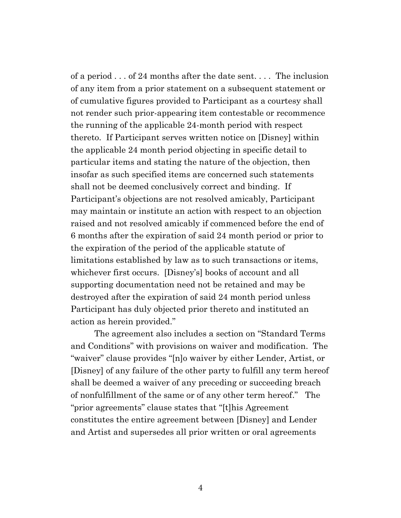of a period . . . of 24 months after the date sent. . . . The inclusion of any item from a prior statement on a subsequent statement or of cumulative figures provided to Participant as a courtesy shall not render such prior-appearing item contestable or recommence the running of the applicable 24-month period with respect thereto. If Participant serves written notice on [Disney] within the applicable 24 month period objecting in specific detail to particular items and stating the nature of the objection, then insofar as such specified items are concerned such statements shall not be deemed conclusively correct and binding. If Participant's objections are not resolved amicably, Participant may maintain or institute an action with respect to an objection raised and not resolved amicably if commenced before the end of 6 months after the expiration of said 24 month period or prior to the expiration of the period of the applicable statute of limitations established by law as to such transactions or items, whichever first occurs. [Disney's] books of account and all supporting documentation need not be retained and may be destroyed after the expiration of said 24 month period unless Participant has duly objected prior thereto and instituted an action as herein provided."

The agreement also includes a section on "Standard Terms and Conditions" with provisions on waiver and modification. The "waiver" clause provides "[n]o waiver by either Lender, Artist, or [Disney] of any failure of the other party to fulfill any term hereof shall be deemed a waiver of any preceding or succeeding breach of nonfulfillment of the same or of any other term hereof." The "prior agreements" clause states that "[t]his Agreement constitutes the entire agreement between [Disney] and Lender and Artist and supersedes all prior written or oral agreements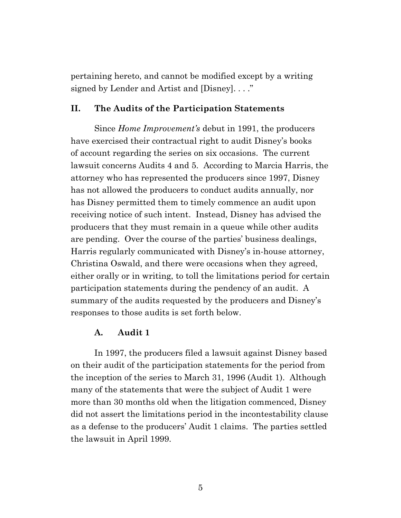pertaining hereto, and cannot be modified except by a writing signed by Lender and Artist and [Disney]. . . ."

#### **II. The Audits of the Participation Statements**

Since *Home Improvement's* debut in 1991, the producers have exercised their contractual right to audit Disney's books of account regarding the series on six occasions. The current lawsuit concerns Audits 4 and 5. According to Marcia Harris, the attorney who has represented the producers since 1997, Disney has not allowed the producers to conduct audits annually, nor has Disney permitted them to timely commence an audit upon receiving notice of such intent. Instead, Disney has advised the producers that they must remain in a queue while other audits are pending. Over the course of the parties' business dealings, Harris regularly communicated with Disney's in-house attorney, Christina Oswald, and there were occasions when they agreed, either orally or in writing, to toll the limitations period for certain participation statements during the pendency of an audit. A summary of the audits requested by the producers and Disney's responses to those audits is set forth below.

#### **A. Audit 1**

In 1997, the producers filed a lawsuit against Disney based on their audit of the participation statements for the period from the inception of the series to March 31, 1996 (Audit 1). Although many of the statements that were the subject of Audit 1 were more than 30 months old when the litigation commenced, Disney did not assert the limitations period in the incontestability clause as a defense to the producers' Audit 1 claims. The parties settled the lawsuit in April 1999.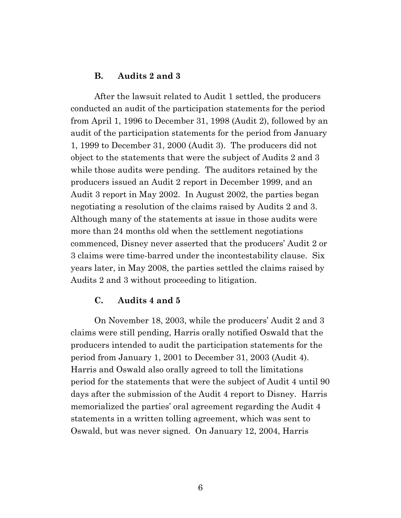### **B. Audits 2 and 3**

After the lawsuit related to Audit 1 settled, the producers conducted an audit of the participation statements for the period from April 1, 1996 to December 31, 1998 (Audit 2), followed by an audit of the participation statements for the period from January 1, 1999 to December 31, 2000 (Audit 3). The producers did not object to the statements that were the subject of Audits 2 and 3 while those audits were pending. The auditors retained by the producers issued an Audit 2 report in December 1999, and an Audit 3 report in May 2002. In August 2002, the parties began negotiating a resolution of the claims raised by Audits 2 and 3. Although many of the statements at issue in those audits were more than 24 months old when the settlement negotiations commenced, Disney never asserted that the producers' Audit 2 or 3 claims were time-barred under the incontestability clause. Six years later, in May 2008, the parties settled the claims raised by Audits 2 and 3 without proceeding to litigation.

#### **C. Audits 4 and 5**

On November 18, 2003, while the producers' Audit 2 and 3 claims were still pending, Harris orally notified Oswald that the producers intended to audit the participation statements for the period from January 1, 2001 to December 31, 2003 (Audit 4). Harris and Oswald also orally agreed to toll the limitations period for the statements that were the subject of Audit 4 until 90 days after the submission of the Audit 4 report to Disney. Harris memorialized the parties' oral agreement regarding the Audit 4 statements in a written tolling agreement, which was sent to Oswald, but was never signed. On January 12, 2004, Harris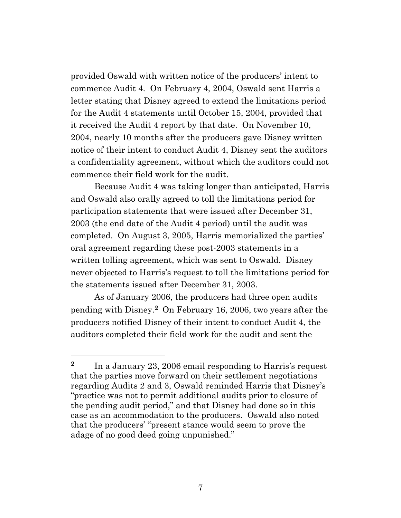provided Oswald with written notice of the producers' intent to commence Audit 4. On February 4, 2004, Oswald sent Harris a letter stating that Disney agreed to extend the limitations period for the Audit 4 statements until October 15, 2004, provided that it received the Audit 4 report by that date. On November 10, 2004, nearly 10 months after the producers gave Disney written notice of their intent to conduct Audit 4, Disney sent the auditors a confidentiality agreement, without which the auditors could not commence their field work for the audit.

Because Audit 4 was taking longer than anticipated, Harris and Oswald also orally agreed to toll the limitations period for participation statements that were issued after December 31, 2003 (the end date of the Audit 4 period) until the audit was completed. On August 3, 2005, Harris memorialized the parties' oral agreement regarding these post-2003 statements in a written tolling agreement, which was sent to Oswald. Disney never objected to Harris's request to toll the limitations period for the statements issued after December 31, 2003.

As of January 2006, the producers had three open audits pending with Disney.**<sup>2</sup>** On February 16, 2006, two years after the producers notified Disney of their intent to conduct Audit 4, the auditors completed their field work for the audit and sent the

<sup>&</sup>lt;sup>2</sup> In a January 23, 2006 email responding to Harris's request that the parties move forward on their settlement negotiations regarding Audits 2 and 3, Oswald reminded Harris that Disney's "practice was not to permit additional audits prior to closure of the pending audit period," and that Disney had done so in this case as an accommodation to the producers. Oswald also noted that the producers' "present stance would seem to prove the adage of no good deed going unpunished."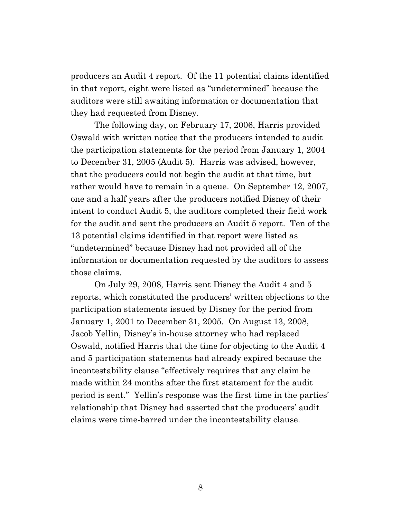producers an Audit 4 report. Of the 11 potential claims identified in that report, eight were listed as "undetermined" because the auditors were still awaiting information or documentation that they had requested from Disney.

The following day, on February 17, 2006, Harris provided Oswald with written notice that the producers intended to audit the participation statements for the period from January 1, 2004 to December 31, 2005 (Audit 5). Harris was advised, however, that the producers could not begin the audit at that time, but rather would have to remain in a queue. On September 12, 2007, one and a half years after the producers notified Disney of their intent to conduct Audit 5, the auditors completed their field work for the audit and sent the producers an Audit 5 report. Ten of the 13 potential claims identified in that report were listed as "undetermined" because Disney had not provided all of the information or documentation requested by the auditors to assess those claims.

On July 29, 2008, Harris sent Disney the Audit 4 and 5 reports, which constituted the producers' written objections to the participation statements issued by Disney for the period from January 1, 2001 to December 31, 2005. On August 13, 2008, Jacob Yellin, Disney's in-house attorney who had replaced Oswald, notified Harris that the time for objecting to the Audit 4 and 5 participation statements had already expired because the incontestability clause "effectively requires that any claim be made within 24 months after the first statement for the audit period is sent." Yellin's response was the first time in the parties' relationship that Disney had asserted that the producers' audit claims were time-barred under the incontestability clause.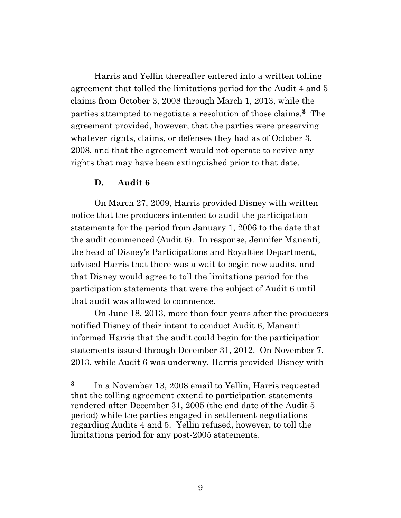Harris and Yellin thereafter entered into a written tolling agreement that tolled the limitations period for the Audit 4 and 5 claims from October 3, 2008 through March 1, 2013, while the parties attempted to negotiate a resolution of those claims.**3** The agreement provided, however, that the parties were preserving whatever rights, claims, or defenses they had as of October 3, 2008, and that the agreement would not operate to revive any rights that may have been extinguished prior to that date.

#### **D. Audit 6**

On March 27, 2009, Harris provided Disney with written notice that the producers intended to audit the participation statements for the period from January 1, 2006 to the date that the audit commenced (Audit 6). In response, Jennifer Manenti, the head of Disney's Participations and Royalties Department, advised Harris that there was a wait to begin new audits, and that Disney would agree to toll the limitations period for the participation statements that were the subject of Audit 6 until that audit was allowed to commence.

On June 18, 2013, more than four years after the producers notified Disney of their intent to conduct Audit 6, Manenti informed Harris that the audit could begin for the participation statements issued through December 31, 2012. On November 7, 2013, while Audit 6 was underway, Harris provided Disney with

**<sup>3</sup>** In a November 13, 2008 email to Yellin, Harris requested that the tolling agreement extend to participation statements rendered after December 31, 2005 (the end date of the Audit 5 period) while the parties engaged in settlement negotiations regarding Audits 4 and 5. Yellin refused, however, to toll the limitations period for any post-2005 statements.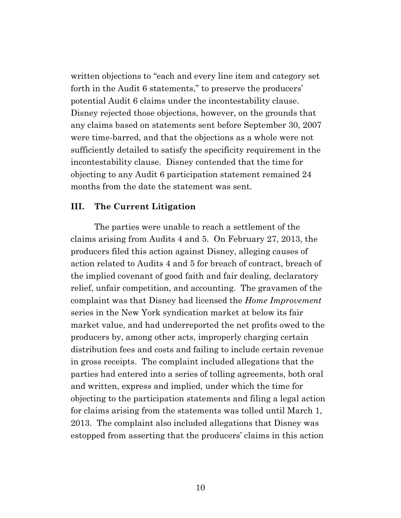written objections to "each and every line item and category set forth in the Audit 6 statements," to preserve the producers' potential Audit 6 claims under the incontestability clause. Disney rejected those objections, however, on the grounds that any claims based on statements sent before September 30, 2007 were time-barred, and that the objections as a whole were not sufficiently detailed to satisfy the specificity requirement in the incontestability clause. Disney contended that the time for objecting to any Audit 6 participation statement remained 24 months from the date the statement was sent.

#### **III. The Current Litigation**

The parties were unable to reach a settlement of the claims arising from Audits 4 and 5. On February 27, 2013, the producers filed this action against Disney, alleging causes of action related to Audits 4 and 5 for breach of contract, breach of the implied covenant of good faith and fair dealing, declaratory relief, unfair competition, and accounting. The gravamen of the complaint was that Disney had licensed the *Home Improvement* series in the New York syndication market at below its fair market value, and had underreported the net profits owed to the producers by, among other acts, improperly charging certain distribution fees and costs and failing to include certain revenue in gross receipts. The complaint included allegations that the parties had entered into a series of tolling agreements, both oral and written, express and implied, under which the time for objecting to the participation statements and filing a legal action for claims arising from the statements was tolled until March 1, 2013. The complaint also included allegations that Disney was estopped from asserting that the producers' claims in this action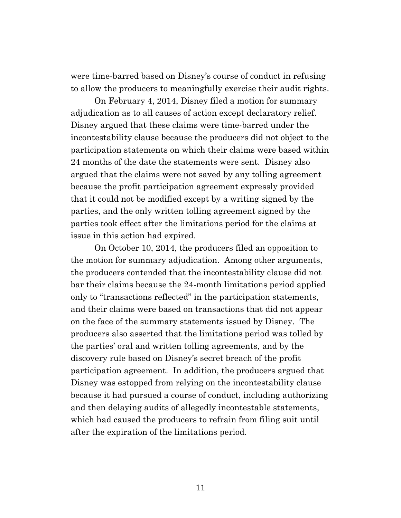were time-barred based on Disney's course of conduct in refusing to allow the producers to meaningfully exercise their audit rights.

On February 4, 2014, Disney filed a motion for summary adjudication as to all causes of action except declaratory relief. Disney argued that these claims were time-barred under the incontestability clause because the producers did not object to the participation statements on which their claims were based within 24 months of the date the statements were sent. Disney also argued that the claims were not saved by any tolling agreement because the profit participation agreement expressly provided that it could not be modified except by a writing signed by the parties, and the only written tolling agreement signed by the parties took effect after the limitations period for the claims at issue in this action had expired.

On October 10, 2014, the producers filed an opposition to the motion for summary adjudication. Among other arguments, the producers contended that the incontestability clause did not bar their claims because the 24-month limitations period applied only to "transactions reflected" in the participation statements, and their claims were based on transactions that did not appear on the face of the summary statements issued by Disney. The producers also asserted that the limitations period was tolled by the parties' oral and written tolling agreements, and by the discovery rule based on Disney's secret breach of the profit participation agreement. In addition, the producers argued that Disney was estopped from relying on the incontestability clause because it had pursued a course of conduct, including authorizing and then delaying audits of allegedly incontestable statements, which had caused the producers to refrain from filing suit until after the expiration of the limitations period.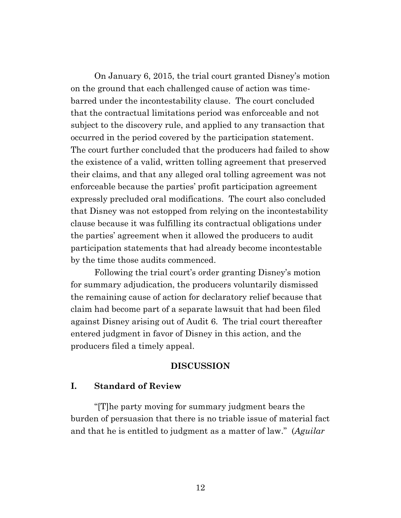On January 6, 2015, the trial court granted Disney's motion on the ground that each challenged cause of action was timebarred under the incontestability clause. The court concluded that the contractual limitations period was enforceable and not subject to the discovery rule, and applied to any transaction that occurred in the period covered by the participation statement. The court further concluded that the producers had failed to show the existence of a valid, written tolling agreement that preserved their claims, and that any alleged oral tolling agreement was not enforceable because the parties' profit participation agreement expressly precluded oral modifications. The court also concluded that Disney was not estopped from relying on the incontestability clause because it was fulfilling its contractual obligations under the parties' agreement when it allowed the producers to audit participation statements that had already become incontestable by the time those audits commenced.

Following the trial court's order granting Disney's motion for summary adjudication, the producers voluntarily dismissed the remaining cause of action for declaratory relief because that claim had become part of a separate lawsuit that had been filed against Disney arising out of Audit 6. The trial court thereafter entered judgment in favor of Disney in this action, and the producers filed a timely appeal.

#### **DISCUSSION**

#### **I. Standard of Review**

"[T]he party moving for summary judgment bears the burden of persuasion that there is no triable issue of material fact and that he is entitled to judgment as a matter of law." (*Aguilar*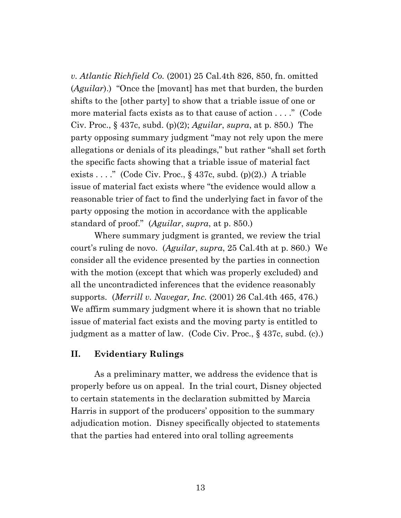*v. Atlantic Richfield Co.* (2001) 25 Cal.4th 826, 850, fn. omitted (*Aguilar*).) "Once the [movant] has met that burden, the burden shifts to the [other party] to show that a triable issue of one or more material facts exists as to that cause of action . . . ." (Code Civ. Proc., § 437c, subd. (p)(2); *Aguilar*, *supra*, at p. 850.) The party opposing summary judgment "may not rely upon the mere allegations or denials of its pleadings," but rather "shall set forth the specific facts showing that a triable issue of material fact exists . . . ." (Code Civ. Proc.,  $\S 437c$ , subd. (p)(2).) A triable issue of material fact exists where "the evidence would allow a reasonable trier of fact to find the underlying fact in favor of the party opposing the motion in accordance with the applicable standard of proof." (*Aguilar*, *supra*, at p. 850.)

Where summary judgment is granted, we review the trial court's ruling de novo. (*Aguilar*, *supra*, 25 Cal.4th at p. 860.) We consider all the evidence presented by the parties in connection with the motion (except that which was properly excluded) and all the uncontradicted inferences that the evidence reasonably supports. (*Merrill v. Navegar, Inc.* (2001) 26 Cal.4th 465, 476.) We affirm summary judgment where it is shown that no triable issue of material fact exists and the moving party is entitled to judgment as a matter of law. (Code Civ. Proc., § 437c, subd. (c).)

#### **II. Evidentiary Rulings**

As a preliminary matter, we address the evidence that is properly before us on appeal. In the trial court, Disney objected to certain statements in the declaration submitted by Marcia Harris in support of the producers' opposition to the summary adjudication motion. Disney specifically objected to statements that the parties had entered into oral tolling agreements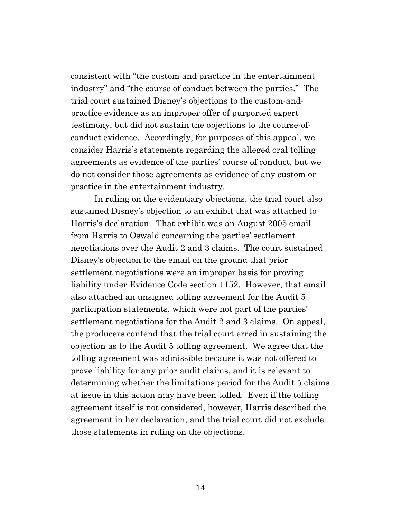consistent with "the custom and practice in the entertainment industry" and "the course of conduct between the parties." The trial court sustained Disney's objections to the custom-andpractice evidence as an improper offer of purported expert testimony, but did not sustain the objections to the course-ofconduct evidence. Accordingly, for purposes of this appeal, we consider Harris's statements regarding the alleged oral tolling agreements as evidence of the parties' course of conduct, but we do not consider those agreements as evidence of any custom or practice in the entertainment industry.

In ruling on the evidentiary objections, the trial court also sustained Disney's objection to an exhibit that was attached to Harris's declaration. That exhibit was an August 2005 email from Harris to Oswald concerning the parties' settlement negotiations over the Audit 2 and 3 claims. The court sustained Disney's objection to the email on the ground that prior settlement negotiations were an improper basis for proving liability under Evidence Code section 1152. However, that email also attached an unsigned tolling agreement for the Audit 5 participation statements, which were not part of the parties' settlement negotiations for the Audit 2 and 3 claims. On appeal, the producers contend that the trial court erred in sustaining the objection as to the Audit 5 tolling agreement. We agree that the tolling agreement was admissible because it was not offered to prove liability for any prior audit claims, and it is relevant to determining whether the limitations period for the Audit 5 claims at issue in this action may have been tolled. Even if the tolling agreement itself is not considered, however, Harris described the agreement in her declaration, and the trial court did not exclude those statements in ruling on the objections.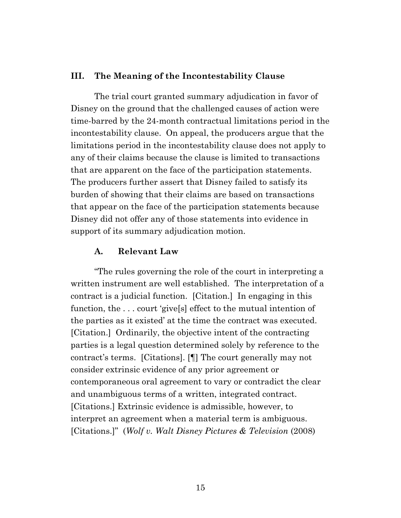#### **III. The Meaning of the Incontestability Clause**

The trial court granted summary adjudication in favor of Disney on the ground that the challenged causes of action were time-barred by the 24-month contractual limitations period in the incontestability clause. On appeal, the producers argue that the limitations period in the incontestability clause does not apply to any of their claims because the clause is limited to transactions that are apparent on the face of the participation statements. The producers further assert that Disney failed to satisfy its burden of showing that their claims are based on transactions that appear on the face of the participation statements because Disney did not offer any of those statements into evidence in support of its summary adjudication motion.

#### **A. Relevant Law**

"The rules governing the role of the court in interpreting a written instrument are well established. The interpretation of a contract is a judicial function. [Citation.] In engaging in this function, the . . . court 'give[s] effect to the mutual intention of the parties as it existed' at the time the contract was executed. [Citation.] Ordinarily, the objective intent of the contracting parties is a legal question determined solely by reference to the contract's terms. [Citations]. [¶] The court generally may not consider extrinsic evidence of any prior agreement or contemporaneous oral agreement to vary or contradict the clear and unambiguous terms of a written, integrated contract. [Citations.] Extrinsic evidence is admissible, however, to interpret an agreement when a material term is ambiguous. [Citations.]" (*Wolf v. Walt Disney Pictures & Television* (2008)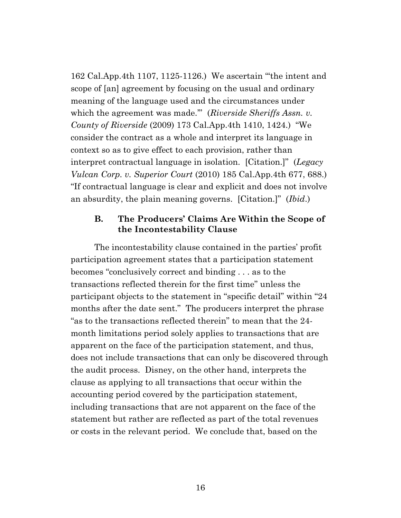162 Cal.App.4th 1107, 1125-1126.) We ascertain "'the intent and scope of [an] agreement by focusing on the usual and ordinary meaning of the language used and the circumstances under which the agreement was made."" (*Riverside Sheriffs Assn. v. County of Riverside* (2009) 173 Cal.App.4th 1410, 1424.) "We consider the contract as a whole and interpret its language in context so as to give effect to each provision, rather than interpret contractual language in isolation. [Citation.]" (*Legacy Vulcan Corp. v. Superior Court* (2010) 185 Cal.App.4th 677, 688.) "If contractual language is clear and explicit and does not involve an absurdity, the plain meaning governs. [Citation.]" (*Ibid*.)

## **B. The Producers' Claims Are Within the Scope of the Incontestability Clause**

The incontestability clause contained in the parties' profit participation agreement states that a participation statement becomes "conclusively correct and binding . . . as to the transactions reflected therein for the first time" unless the participant objects to the statement in "specific detail" within "24 months after the date sent." The producers interpret the phrase "as to the transactions reflected therein" to mean that the 24 month limitations period solely applies to transactions that are apparent on the face of the participation statement, and thus, does not include transactions that can only be discovered through the audit process. Disney, on the other hand, interprets the clause as applying to all transactions that occur within the accounting period covered by the participation statement, including transactions that are not apparent on the face of the statement but rather are reflected as part of the total revenues or costs in the relevant period. We conclude that, based on the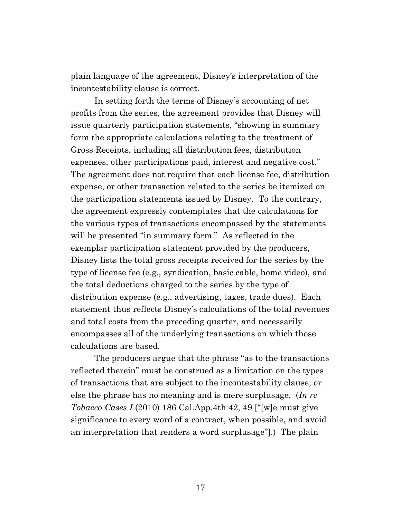plain language of the agreement, Disney's interpretation of the incontestability clause is correct.

In setting forth the terms of Disney's accounting of net profits from the series, the agreement provides that Disney will issue quarterly participation statements, "showing in summary form the appropriate calculations relating to the treatment of Gross Receipts, including all distribution fees, distribution expenses, other participations paid, interest and negative cost." The agreement does not require that each license fee, distribution expense, or other transaction related to the series be itemized on the participation statements issued by Disney. To the contrary, the agreement expressly contemplates that the calculations for the various types of transactions encompassed by the statements will be presented "in summary form." As reflected in the exemplar participation statement provided by the producers, Disney lists the total gross receipts received for the series by the type of license fee (e.g., syndication, basic cable, home video), and the total deductions charged to the series by the type of distribution expense (e.g., advertising, taxes, trade dues). Each statement thus reflects Disney's calculations of the total revenues and total costs from the preceding quarter, and necessarily encompasses all of the underlying transactions on which those calculations are based.

The producers argue that the phrase "as to the transactions reflected therein" must be construed as a limitation on the types of transactions that are subject to the incontestability clause, or else the phrase has no meaning and is mere surplusage. (*In re Tobacco Cases I* (2010) 186 Cal.App.4th 42, 49 ["[w]e must give significance to every word of a contract, when possible, and avoid an interpretation that renders a word surplusage"].) The plain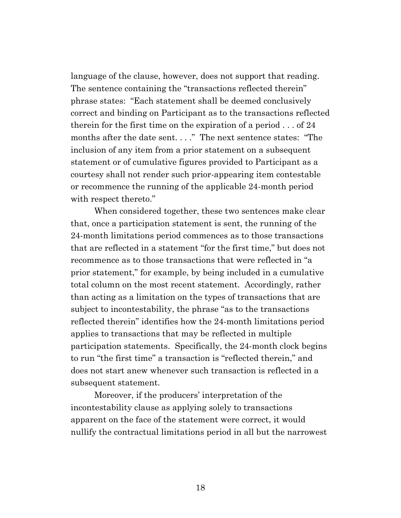language of the clause, however, does not support that reading. The sentence containing the "transactions reflected therein" phrase states: "Each statement shall be deemed conclusively correct and binding on Participant as to the transactions reflected therein for the first time on the expiration of a period . . . of 24 months after the date sent. . . ." The next sentence states: "The inclusion of any item from a prior statement on a subsequent statement or of cumulative figures provided to Participant as a courtesy shall not render such prior-appearing item contestable or recommence the running of the applicable 24-month period with respect thereto."

When considered together, these two sentences make clear that, once a participation statement is sent, the running of the 24-month limitations period commences as to those transactions that are reflected in a statement "for the first time," but does not recommence as to those transactions that were reflected in "a prior statement," for example, by being included in a cumulative total column on the most recent statement. Accordingly, rather than acting as a limitation on the types of transactions that are subject to incontestability, the phrase "as to the transactions reflected therein" identifies how the 24-month limitations period applies to transactions that may be reflected in multiple participation statements. Specifically, the 24-month clock begins to run "the first time" a transaction is "reflected therein," and does not start anew whenever such transaction is reflected in a subsequent statement.

Moreover, if the producers' interpretation of the incontestability clause as applying solely to transactions apparent on the face of the statement were correct, it would nullify the contractual limitations period in all but the narrowest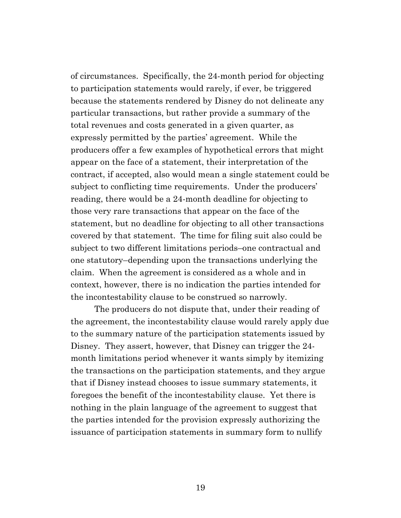of circumstances. Specifically, the 24-month period for objecting to participation statements would rarely, if ever, be triggered because the statements rendered by Disney do not delineate any particular transactions, but rather provide a summary of the total revenues and costs generated in a given quarter, as expressly permitted by the parties' agreement. While the producers offer a few examples of hypothetical errors that might appear on the face of a statement, their interpretation of the contract, if accepted, also would mean a single statement could be subject to conflicting time requirements. Under the producers' reading, there would be a 24-month deadline for objecting to those very rare transactions that appear on the face of the statement, but no deadline for objecting to all other transactions covered by that statement. The time for filing suit also could be subject to two different limitations periods–one contractual and one statutory–depending upon the transactions underlying the claim. When the agreement is considered as a whole and in context, however, there is no indication the parties intended for the incontestability clause to be construed so narrowly.

The producers do not dispute that, under their reading of the agreement, the incontestability clause would rarely apply due to the summary nature of the participation statements issued by Disney. They assert, however, that Disney can trigger the 24 month limitations period whenever it wants simply by itemizing the transactions on the participation statements, and they argue that if Disney instead chooses to issue summary statements, it foregoes the benefit of the incontestability clause. Yet there is nothing in the plain language of the agreement to suggest that the parties intended for the provision expressly authorizing the issuance of participation statements in summary form to nullify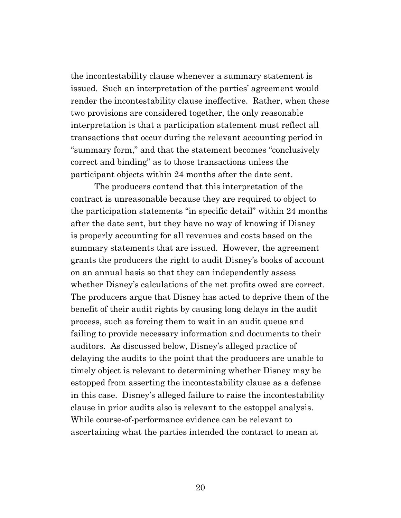the incontestability clause whenever a summary statement is issued. Such an interpretation of the parties' agreement would render the incontestability clause ineffective. Rather, when these two provisions are considered together, the only reasonable interpretation is that a participation statement must reflect all transactions that occur during the relevant accounting period in "summary form," and that the statement becomes "conclusively correct and binding" as to those transactions unless the participant objects within 24 months after the date sent.

The producers contend that this interpretation of the contract is unreasonable because they are required to object to the participation statements "in specific detail" within 24 months after the date sent, but they have no way of knowing if Disney is properly accounting for all revenues and costs based on the summary statements that are issued. However, the agreement grants the producers the right to audit Disney's books of account on an annual basis so that they can independently assess whether Disney's calculations of the net profits owed are correct. The producers argue that Disney has acted to deprive them of the benefit of their audit rights by causing long delays in the audit process, such as forcing them to wait in an audit queue and failing to provide necessary information and documents to their auditors. As discussed below, Disney's alleged practice of delaying the audits to the point that the producers are unable to timely object is relevant to determining whether Disney may be estopped from asserting the incontestability clause as a defense in this case. Disney's alleged failure to raise the incontestability clause in prior audits also is relevant to the estoppel analysis. While course-of-performance evidence can be relevant to ascertaining what the parties intended the contract to mean at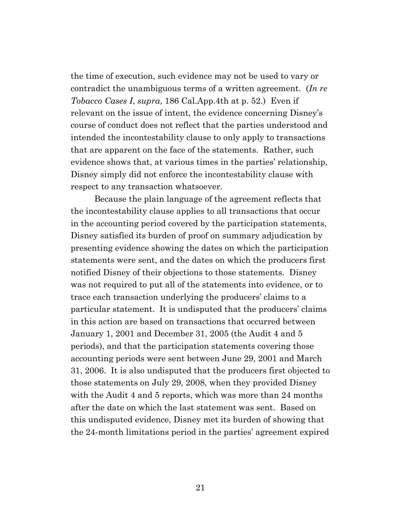the time of execution, such evidence may not be used to vary or contradict the unambiguous terms of a written agreement. (*In re Tobacco Cases I*, *supra*, 186 Cal.App.4th at p. 52.) Even if relevant on the issue of intent, the evidence concerning Disney's course of conduct does not reflect that the parties understood and intended the incontestability clause to only apply to transactions that are apparent on the face of the statements. Rather, such evidence shows that, at various times in the parties' relationship, Disney simply did not enforce the incontestability clause with respect to any transaction whatsoever.

Because the plain language of the agreement reflects that the incontestability clause applies to all transactions that occur in the accounting period covered by the participation statements, Disney satisfied its burden of proof on summary adjudication by presenting evidence showing the dates on which the participation statements were sent, and the dates on which the producers first notified Disney of their objections to those statements. Disney was not required to put all of the statements into evidence, or to trace each transaction underlying the producers' claims to a particular statement. It is undisputed that the producers' claims in this action are based on transactions that occurred between January 1, 2001 and December 31, 2005 (the Audit 4 and 5 periods), and that the participation statements covering those accounting periods were sent between June 29, 2001 and March 31, 2006. It is also undisputed that the producers first objected to those statements on July 29, 2008, when they provided Disney with the Audit 4 and 5 reports, which was more than 24 months after the date on which the last statement was sent. Based on this undisputed evidence, Disney met its burden of showing that the 24-month limitations period in the parties' agreement expired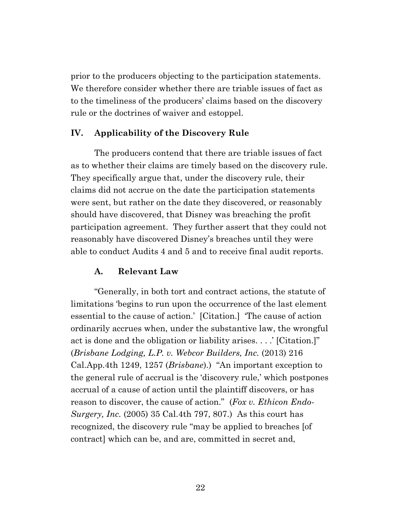prior to the producers objecting to the participation statements. We therefore consider whether there are triable issues of fact as to the timeliness of the producers' claims based on the discovery rule or the doctrines of waiver and estoppel.

### **IV. Applicability of the Discovery Rule**

The producers contend that there are triable issues of fact as to whether their claims are timely based on the discovery rule. They specifically argue that, under the discovery rule, their claims did not accrue on the date the participation statements were sent, but rather on the date they discovered, or reasonably should have discovered, that Disney was breaching the profit participation agreement. They further assert that they could not reasonably have discovered Disney's breaches until they were able to conduct Audits 4 and 5 and to receive final audit reports.

#### **A. Relevant Law**

"Generally, in both tort and contract actions, the statute of limitations 'begins to run upon the occurrence of the last element essential to the cause of action.' [Citation.] 'The cause of action ordinarily accrues when, under the substantive law, the wrongful act is done and the obligation or liability arises. . . .' [Citation.]" (*Brisbane Lodging, L.P. v. Webcor Builders, Inc.* (2013) 216 Cal.App.4th 1249, 1257 (*Brisbane*).) "An important exception to the general rule of accrual is the 'discovery rule,' which postpones accrual of a cause of action until the plaintiff discovers, or has reason to discover, the cause of action." (*Fox v. Ethicon Endo-Surgery, Inc.* (2005) 35 Cal.4th 797, 807.) As this court has recognized, the discovery rule "may be applied to breaches [of contract] which can be, and are, committed in secret and,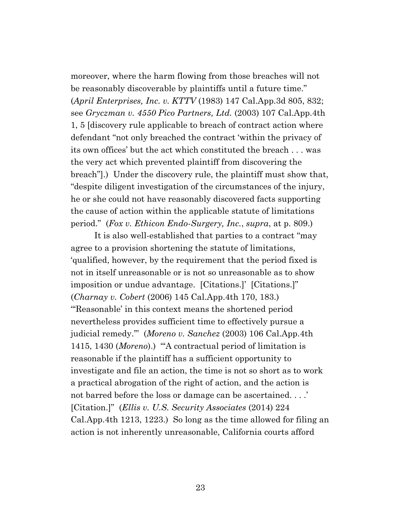moreover, where the harm flowing from those breaches will not be reasonably discoverable by plaintiffs until a future time." (*April Enterprises, Inc. v. KTTV* (1983) 147 Cal.App.3d 805, 832; see *Gryczman v. 4550 Pico Partners, Ltd.* (2003) 107 Cal.App.4th 1, 5 [discovery rule applicable to breach of contract action where defendant "not only breached the contract 'within the privacy of its own offices' but the act which constituted the breach . . . was the very act which prevented plaintiff from discovering the breach"].) Under the discovery rule, the plaintiff must show that, "despite diligent investigation of the circumstances of the injury, he or she could not have reasonably discovered facts supporting the cause of action within the applicable statute of limitations period." (*Fox v. Ethicon Endo-Surgery, Inc.*, *supra*, at p. 809.)

It is also well-established that parties to a contract "may agree to a provision shortening the statute of limitations, 'qualified, however, by the requirement that the period fixed is not in itself unreasonable or is not so unreasonable as to show imposition or undue advantage. [Citations.]' [Citations.]" (*Charnay v. Cobert* (2006) 145 Cal.App.4th 170, 183.) "'Reasonable' in this context means the shortened period nevertheless provides sufficient time to effectively pursue a judicial remedy.'" (*Moreno v. Sanchez* (2003) 106 Cal.App.4th 1415, 1430 (*Moreno*).) "'A contractual period of limitation is reasonable if the plaintiff has a sufficient opportunity to investigate and file an action, the time is not so short as to work a practical abrogation of the right of action, and the action is not barred before the loss or damage can be ascertained....' [Citation.]" (*Ellis v. U.S. Security Associates* (2014) 224 Cal.App.4th 1213, 1223.) So long as the time allowed for filing an action is not inherently unreasonable, California courts afford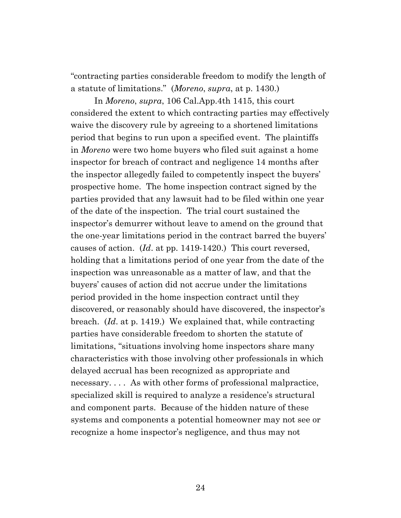"contracting parties considerable freedom to modify the length of a statute of limitations." (*Moreno*, *supra*, at p. 1430.)

In *Moreno*, *supra*, 106 Cal.App.4th 1415, this court considered the extent to which contracting parties may effectively waive the discovery rule by agreeing to a shortened limitations period that begins to run upon a specified event. The plaintiffs in *Moreno* were two home buyers who filed suit against a home inspector for breach of contract and negligence 14 months after the inspector allegedly failed to competently inspect the buyers' prospective home. The home inspection contract signed by the parties provided that any lawsuit had to be filed within one year of the date of the inspection. The trial court sustained the inspector's demurrer without leave to amend on the ground that the one-year limitations period in the contract barred the buyers' causes of action. (*Id*. at pp. 1419-1420.) This court reversed, holding that a limitations period of one year from the date of the inspection was unreasonable as a matter of law, and that the buyers' causes of action did not accrue under the limitations period provided in the home inspection contract until they discovered, or reasonably should have discovered, the inspector's breach. (*Id*. at p. 1419.) We explained that, while contracting parties have considerable freedom to shorten the statute of limitations, "situations involving home inspectors share many characteristics with those involving other professionals in which delayed accrual has been recognized as appropriate and necessary. . . . As with other forms of professional malpractice, specialized skill is required to analyze a residence's structural and component parts. Because of the hidden nature of these systems and components a potential homeowner may not see or recognize a home inspector's negligence, and thus may not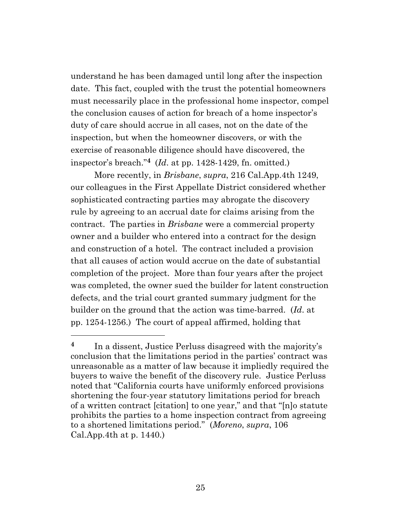understand he has been damaged until long after the inspection date. This fact, coupled with the trust the potential homeowners must necessarily place in the professional home inspector, compel the conclusion causes of action for breach of a home inspector's duty of care should accrue in all cases, not on the date of the inspection, but when the homeowner discovers, or with the exercise of reasonable diligence should have discovered, the inspector's breach." **<sup>4</sup>** (*Id*. at pp. 1428-1429, fn. omitted.)

More recently, in *Brisbane*, *supra*, 216 Cal.App.4th 1249, our colleagues in the First Appellate District considered whether sophisticated contracting parties may abrogate the discovery rule by agreeing to an accrual date for claims arising from the contract. The parties in *Brisbane* were a commercial property owner and a builder who entered into a contract for the design and construction of a hotel. The contract included a provision that all causes of action would accrue on the date of substantial completion of the project. More than four years after the project was completed, the owner sued the builder for latent construction defects, and the trial court granted summary judgment for the builder on the ground that the action was time-barred. (*Id*. at pp. 1254-1256.) The court of appeal affirmed, holding that

**<sup>4</sup>** In a dissent, Justice Perluss disagreed with the majority's conclusion that the limitations period in the parties' contract was unreasonable as a matter of law because it impliedly required the buyers to waive the benefit of the discovery rule. Justice Perluss noted that "California courts have uniformly enforced provisions shortening the four-year statutory limitations period for breach of a written contract [citation] to one year," and that "[n]o statute prohibits the parties to a home inspection contract from agreeing to a shortened limitations period." (*Moreno*, *supra*, 106 Cal.App.4th at p. 1440.)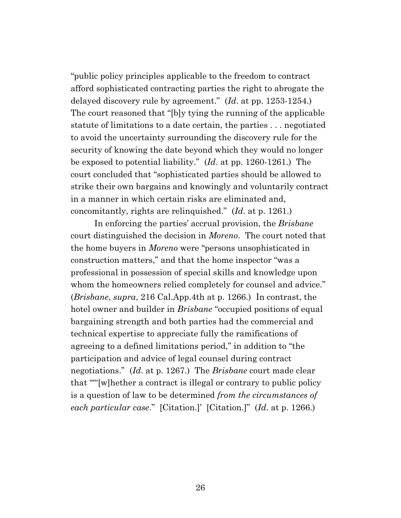"public policy principles applicable to the freedom to contract afford sophisticated contracting parties the right to abrogate the delayed discovery rule by agreement." (*Id*. at pp. 1253-1254.) The court reasoned that "[b]y tying the running of the applicable statute of limitations to a date certain, the parties . . . negotiated to avoid the uncertainty surrounding the discovery rule for the security of knowing the date beyond which they would no longer be exposed to potential liability." (*Id*. at pp. 1260-1261.) The court concluded that "sophisticated parties should be allowed to strike their own bargains and knowingly and voluntarily contract in a manner in which certain risks are eliminated and, concomitantly, rights are relinquished." (*Id*. at p. 1261.)

In enforcing the parties' accrual provision, the *Brisbane* court distinguished the decision in *Moreno*. The court noted that the home buyers in *Moreno* were "persons unsophisticated in construction matters," and that the home inspector "was a professional in possession of special skills and knowledge upon whom the homeowners relied completely for counsel and advice." (*Brisbane*, *supra*, 216 Cal.App.4th at p. 1266.) In contrast, the hotel owner and builder in *Brisbane* "occupied positions of equal bargaining strength and both parties had the commercial and technical expertise to appreciate fully the ramifications of agreeing to a defined limitations period," in addition to "the participation and advice of legal counsel during contract negotiations." (*Id*. at p. 1267.) The *Brisbane* court made clear that "'"[w]hether a contract is illegal or contrary to public policy is a question of law to be determined *from the circumstances of each particular case*." [Citation.]' [Citation.]" (*Id*. at p. 1266.)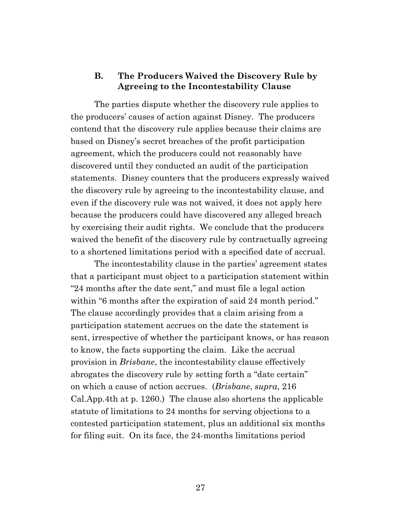# **B. The Producers Waived the Discovery Rule by Agreeing to the Incontestability Clause**

The parties dispute whether the discovery rule applies to the producers' causes of action against Disney. The producers contend that the discovery rule applies because their claims are based on Disney's secret breaches of the profit participation agreement, which the producers could not reasonably have discovered until they conducted an audit of the participation statements. Disney counters that the producers expressly waived the discovery rule by agreeing to the incontestability clause, and even if the discovery rule was not waived, it does not apply here because the producers could have discovered any alleged breach by exercising their audit rights. We conclude that the producers waived the benefit of the discovery rule by contractually agreeing to a shortened limitations period with a specified date of accrual.

The incontestability clause in the parties' agreement states that a participant must object to a participation statement within "24 months after the date sent," and must file a legal action within "6 months after the expiration of said 24 month period." The clause accordingly provides that a claim arising from a participation statement accrues on the date the statement is sent, irrespective of whether the participant knows, or has reason to know, the facts supporting the claim. Like the accrual provision in *Brisbane*, the incontestability clause effectively abrogates the discovery rule by setting forth a "date certain" on which a cause of action accrues. (*Brisbane*, *supra*, 216 Cal.App.4th at p. 1260.) The clause also shortens the applicable statute of limitations to 24 months for serving objections to a contested participation statement, plus an additional six months for filing suit. On its face, the 24-months limitations period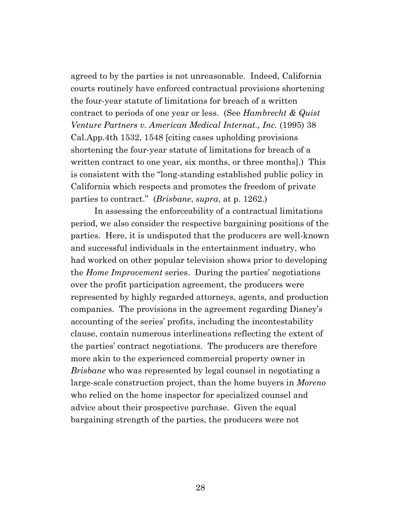agreed to by the parties is not unreasonable. Indeed, California courts routinely have enforced contractual provisions shortening the four-year statute of limitations for breach of a written contract to periods of one year or less. (See *Hambrecht & Quist Venture Partners v. American Medical Internat., Inc.* (1995) 38 Cal.App.4th 1532, 1548 [citing cases upholding provisions shortening the four-year statute of limitations for breach of a written contract to one year, six months, or three months].) This is consistent with the "long-standing established public policy in California which respects and promotes the freedom of private parties to contract." (*Brisbane*, *supra*, at p. 1262.)

In assessing the enforceability of a contractual limitations period, we also consider the respective bargaining positions of the parties. Here, it is undisputed that the producers are well-known and successful individuals in the entertainment industry, who had worked on other popular television shows prior to developing the *Home Improvement* series. During the parties' negotiations over the profit participation agreement, the producers were represented by highly regarded attorneys, agents, and production companies. The provisions in the agreement regarding Disney's accounting of the series' profits, including the incontestability clause, contain numerous interlineations reflecting the extent of the parties' contract negotiations. The producers are therefore more akin to the experienced commercial property owner in *Brisbane* who was represented by legal counsel in negotiating a large-scale construction project, than the home buyers in *Moreno* who relied on the home inspector for specialized counsel and advice about their prospective purchase. Given the equal bargaining strength of the parties, the producers were not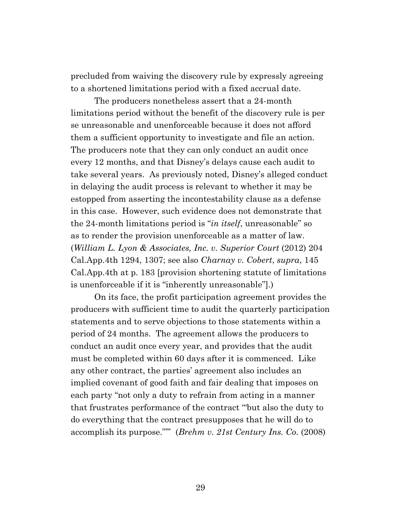precluded from waiving the discovery rule by expressly agreeing to a shortened limitations period with a fixed accrual date.

The producers nonetheless assert that a 24-month limitations period without the benefit of the discovery rule is per se unreasonable and unenforceable because it does not afford them a sufficient opportunity to investigate and file an action. The producers note that they can only conduct an audit once every 12 months, and that Disney's delays cause each audit to take several years. As previously noted, Disney's alleged conduct in delaying the audit process is relevant to whether it may be estopped from asserting the incontestability clause as a defense in this case. However, such evidence does not demonstrate that the 24-month limitations period is "*in itself*, unreasonable" so as to render the provision unenforceable as a matter of law. (*William L. Lyon & Associates, Inc. v. Superior Court* (2012) 204 Cal.App.4th 1294, 1307; see also *Charnay v. Cobert*, *supra*, 145 Cal.App.4th at p. 183 [provision shortening statute of limitations is unenforceable if it is "inherently unreasonable"].)

On its face, the profit participation agreement provides the producers with sufficient time to audit the quarterly participation statements and to serve objections to those statements within a period of 24 months. The agreement allows the producers to conduct an audit once every year, and provides that the audit must be completed within 60 days after it is commenced. Like any other contract, the parties' agreement also includes an implied covenant of good faith and fair dealing that imposes on each party "not only a duty to refrain from acting in a manner that frustrates performance of the contract '"but also the duty to do everything that the contract presupposes that he will do to accomplish its purpose."'" (*Brehm v. 21st Century Ins. Co.* (2008)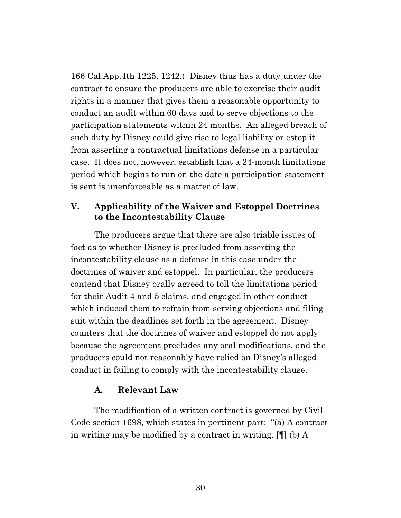166 Cal.App.4th 1225, 1242.) Disney thus has a duty under the contract to ensure the producers are able to exercise their audit rights in a manner that gives them a reasonable opportunity to conduct an audit within 60 days and to serve objections to the participation statements within 24 months. An alleged breach of such duty by Disney could give rise to legal liability or estop it from asserting a contractual limitations defense in a particular case. It does not, however, establish that a 24-month limitations period which begins to run on the date a participation statement is sent is unenforceable as a matter of law.

# **V. Applicability of the Waiver and Estoppel Doctrines to the Incontestability Clause**

The producers argue that there are also triable issues of fact as to whether Disney is precluded from asserting the incontestability clause as a defense in this case under the doctrines of waiver and estoppel. In particular, the producers contend that Disney orally agreed to toll the limitations period for their Audit 4 and 5 claims, and engaged in other conduct which induced them to refrain from serving objections and filing suit within the deadlines set forth in the agreement. Disney counters that the doctrines of waiver and estoppel do not apply because the agreement precludes any oral modifications, and the producers could not reasonably have relied on Disney's alleged conduct in failing to comply with the incontestability clause.

## **A. Relevant Law**

The modification of a written contract is governed by Civil Code section 1698, which states in pertinent part: "(a) A contract in writing may be modified by a contract in writing. [¶] (b) A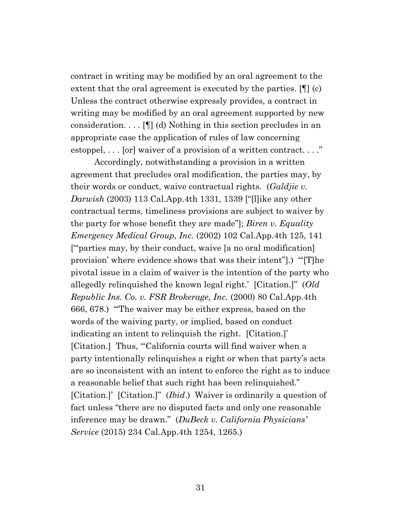contract in writing may be modified by an oral agreement to the extent that the oral agreement is executed by the parties. [¶] (c) Unless the contract otherwise expressly provides, a contract in writing may be modified by an oral agreement supported by new consideration. . . . [¶] (d) Nothing in this section precludes in an appropriate case the application of rules of law concerning estoppel, . . . [or] waiver of a provision of a written contract. . . ."

Accordingly, notwithstanding a provision in a written agreement that precludes oral modification, the parties may, by their words or conduct, waive contractual rights. (*Galdjie v. Darwish* (2003) 113 Cal.App.4th 1331, 1339 ["[l]ike any other contractual terms, timeliness provisions are subject to waiver by the party for whose benefit they are made"]; *Biren v. Equality Emergency Medical Group, Inc.* (2002) 102 Cal.App.4th 125, 141 ["'parties may, by their conduct, waive [a no oral modification] provision' where evidence shows that was their intent"].) "'[T]he pivotal issue in a claim of waiver is the intention of the party who allegedly relinquished the known legal right.' [Citation.]" (*Old Republic Ins. Co. v. FSR Brokerage, Inc.* (2000) 80 Cal.App.4th 666, 678.) "'The waiver may be either express, based on the words of the waiving party, or implied, based on conduct indicating an intent to relinquish the right. [Citation.]' [Citation.] Thus, "California courts will find waiver when a party intentionally relinquishes a right or when that party's acts are so inconsistent with an intent to enforce the right as to induce a reasonable belief that such right has been relinquished." [Citation.]' [Citation.]" (*Ibid*.) Waiver is ordinarily a question of fact unless "there are no disputed facts and only one reasonable inference may be drawn." (*DuBeck v. California Physicians' Service* (2015) 234 Cal.App.4th 1254, 1265.)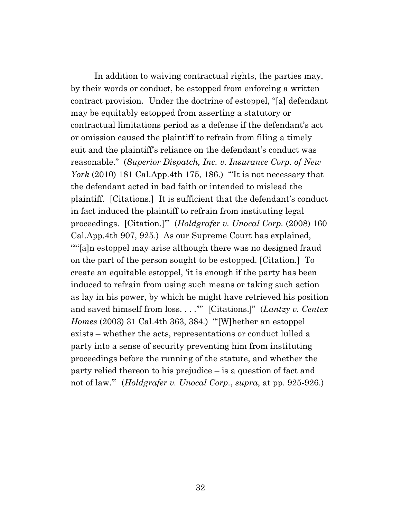In addition to waiving contractual rights, the parties may, by their words or conduct, be estopped from enforcing a written contract provision. Under the doctrine of estoppel, "[a] defendant may be equitably estopped from asserting a statutory or contractual limitations period as a defense if the defendant's act or omission caused the plaintiff to refrain from filing a timely suit and the plaintiff's reliance on the defendant's conduct was reasonable." (*Superior Dispatch, Inc. v. Insurance Corp. of New York* (2010) 181 Cal.App.4th 175, 186.) "'It is not necessary that the defendant acted in bad faith or intended to mislead the plaintiff. [Citations.] It is sufficient that the defendant's conduct in fact induced the plaintiff to refrain from instituting legal proceedings. [Citation.]'" (*Holdgrafer v. Unocal Corp.* (2008) 160 Cal.App.4th 907, 925.) As our Supreme Court has explained, ""[a]n estoppel may arise although there was no designed fraud on the part of the person sought to be estopped. [Citation.] To create an equitable estoppel, 'it is enough if the party has been induced to refrain from using such means or taking such action as lay in his power, by which he might have retrieved his position and saved himself from loss. . . .'"' [Citations.]" (*Lantzy v. Centex Homes* (2003) 31 Cal.4th 363, 384.) "'[W]hether an estoppel exists – whether the acts, representations or conduct lulled a party into a sense of security preventing him from instituting proceedings before the running of the statute, and whether the party relied thereon to his prejudice – is a question of fact and not of law.'" (*Holdgrafer v. Unocal Corp.*, *supra*, at pp. 925-926.)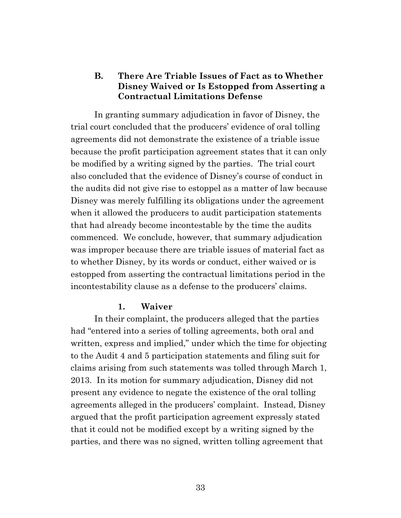# **B. There Are Triable Issues of Fact as to Whether Disney Waived or Is Estopped from Asserting a Contractual Limitations Defense**

In granting summary adjudication in favor of Disney, the trial court concluded that the producers' evidence of oral tolling agreements did not demonstrate the existence of a triable issue because the profit participation agreement states that it can only be modified by a writing signed by the parties. The trial court also concluded that the evidence of Disney's course of conduct in the audits did not give rise to estoppel as a matter of law because Disney was merely fulfilling its obligations under the agreement when it allowed the producers to audit participation statements that had already become incontestable by the time the audits commenced. We conclude, however, that summary adjudication was improper because there are triable issues of material fact as to whether Disney, by its words or conduct, either waived or is estopped from asserting the contractual limitations period in the incontestability clause as a defense to the producers' claims.

#### **1. Waiver**

In their complaint, the producers alleged that the parties had "entered into a series of tolling agreements, both oral and written, express and implied," under which the time for objecting to the Audit 4 and 5 participation statements and filing suit for claims arising from such statements was tolled through March 1, 2013. In its motion for summary adjudication, Disney did not present any evidence to negate the existence of the oral tolling agreements alleged in the producers' complaint. Instead, Disney argued that the profit participation agreement expressly stated that it could not be modified except by a writing signed by the parties, and there was no signed, written tolling agreement that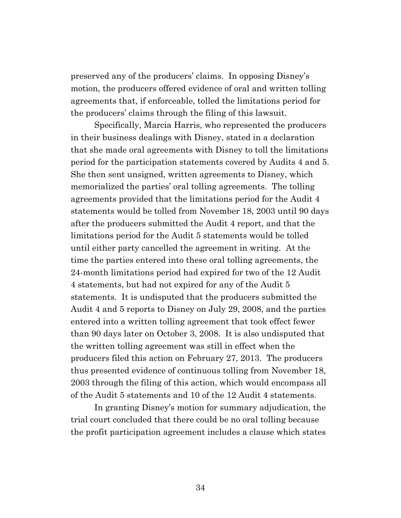preserved any of the producers' claims. In opposing Disney's motion, the producers offered evidence of oral and written tolling agreements that, if enforceable, tolled the limitations period for the producers' claims through the filing of this lawsuit.

Specifically, Marcia Harris, who represented the producers in their business dealings with Disney, stated in a declaration that she made oral agreements with Disney to toll the limitations period for the participation statements covered by Audits 4 and 5. She then sent unsigned, written agreements to Disney, which memorialized the parties' oral tolling agreements. The tolling agreements provided that the limitations period for the Audit 4 statements would be tolled from November 18, 2003 until 90 days after the producers submitted the Audit 4 report, and that the limitations period for the Audit 5 statements would be tolled until either party cancelled the agreement in writing. At the time the parties entered into these oral tolling agreements, the 24-month limitations period had expired for two of the 12 Audit 4 statements, but had not expired for any of the Audit 5 statements. It is undisputed that the producers submitted the Audit 4 and 5 reports to Disney on July 29, 2008, and the parties entered into a written tolling agreement that took effect fewer than 90 days later on October 3, 2008. It is also undisputed that the written tolling agreement was still in effect when the producers filed this action on February 27, 2013. The producers thus presented evidence of continuous tolling from November 18, 2003 through the filing of this action, which would encompass all of the Audit 5 statements and 10 of the 12 Audit 4 statements.

In granting Disney's motion for summary adjudication, the trial court concluded that there could be no oral tolling because the profit participation agreement includes a clause which states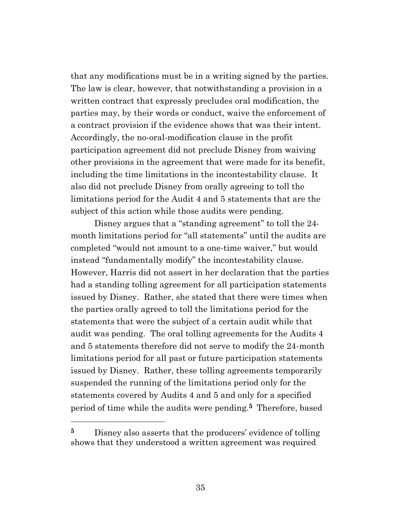that any modifications must be in a writing signed by the parties. The law is clear, however, that notwithstanding a provision in a written contract that expressly precludes oral modification, the parties may, by their words or conduct, waive the enforcement of a contract provision if the evidence shows that was their intent. Accordingly, the no-oral-modification clause in the profit participation agreement did not preclude Disney from waiving other provisions in the agreement that were made for its benefit, including the time limitations in the incontestability clause. It also did not preclude Disney from orally agreeing to toll the limitations period for the Audit 4 and 5 statements that are the subject of this action while those audits were pending.

Disney argues that a "standing agreement" to toll the 24 month limitations period for "all statements" until the audits are completed "would not amount to a one-time waiver," but would instead "fundamentally modify" the incontestability clause. However, Harris did not assert in her declaration that the parties had a standing tolling agreement for all participation statements issued by Disney. Rather, she stated that there were times when the parties orally agreed to toll the limitations period for the statements that were the subject of a certain audit while that audit was pending. The oral tolling agreements for the Audits 4 and 5 statements therefore did not serve to modify the 24-month limitations period for all past or future participation statements issued by Disney. Rather, these tolling agreements temporarily suspended the running of the limitations period only for the statements covered by Audits 4 and 5 and only for a specified period of time while the audits were pending. **<sup>5</sup>** Therefore, based

**<sup>5</sup>** Disney also asserts that the producers' evidence of tolling shows that they understood a written agreement was required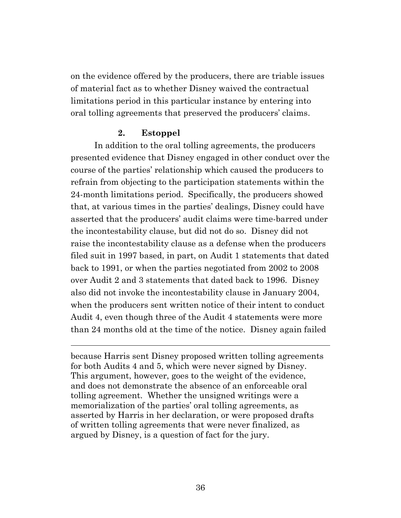on the evidence offered by the producers, there are triable issues of material fact as to whether Disney waived the contractual limitations period in this particular instance by entering into oral tolling agreements that preserved the producers' claims.

#### **2. Estoppel**

In addition to the oral tolling agreements, the producers presented evidence that Disney engaged in other conduct over the course of the parties' relationship which caused the producers to refrain from objecting to the participation statements within the 24-month limitations period. Specifically, the producers showed that, at various times in the parties' dealings, Disney could have asserted that the producers' audit claims were time-barred under the incontestability clause, but did not do so. Disney did not raise the incontestability clause as a defense when the producers filed suit in 1997 based, in part, on Audit 1 statements that dated back to 1991, or when the parties negotiated from 2002 to 2008 over Audit 2 and 3 statements that dated back to 1996. Disney also did not invoke the incontestability clause in January 2004, when the producers sent written notice of their intent to conduct Audit 4, even though three of the Audit 4 statements were more than 24 months old at the time of the notice. Disney again failed

because Harris sent Disney proposed written tolling agreements for both Audits 4 and 5, which were never signed by Disney. This argument, however, goes to the weight of the evidence, and does not demonstrate the absence of an enforceable oral tolling agreement. Whether the unsigned writings were a memorialization of the parties' oral tolling agreements, as asserted by Harris in her declaration, or were proposed drafts of written tolling agreements that were never finalized, as argued by Disney, is a question of fact for the jury.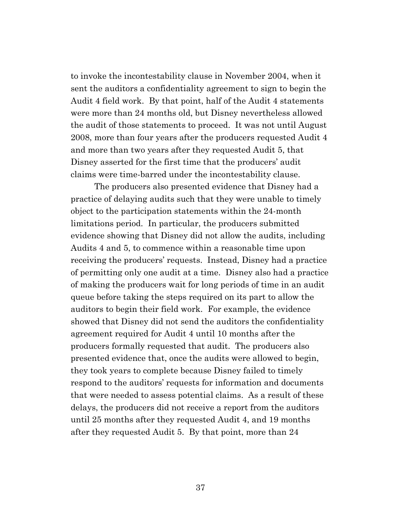to invoke the incontestability clause in November 2004, when it sent the auditors a confidentiality agreement to sign to begin the Audit 4 field work. By that point, half of the Audit 4 statements were more than 24 months old, but Disney nevertheless allowed the audit of those statements to proceed. It was not until August 2008, more than four years after the producers requested Audit 4 and more than two years after they requested Audit 5, that Disney asserted for the first time that the producers' audit claims were time-barred under the incontestability clause.

The producers also presented evidence that Disney had a practice of delaying audits such that they were unable to timely object to the participation statements within the 24-month limitations period. In particular, the producers submitted evidence showing that Disney did not allow the audits, including Audits 4 and 5, to commence within a reasonable time upon receiving the producers' requests. Instead, Disney had a practice of permitting only one audit at a time. Disney also had a practice of making the producers wait for long periods of time in an audit queue before taking the steps required on its part to allow the auditors to begin their field work. For example, the evidence showed that Disney did not send the auditors the confidentiality agreement required for Audit 4 until 10 months after the producers formally requested that audit. The producers also presented evidence that, once the audits were allowed to begin, they took years to complete because Disney failed to timely respond to the auditors' requests for information and documents that were needed to assess potential claims. As a result of these delays, the producers did not receive a report from the auditors until 25 months after they requested Audit 4, and 19 months after they requested Audit 5. By that point, more than 24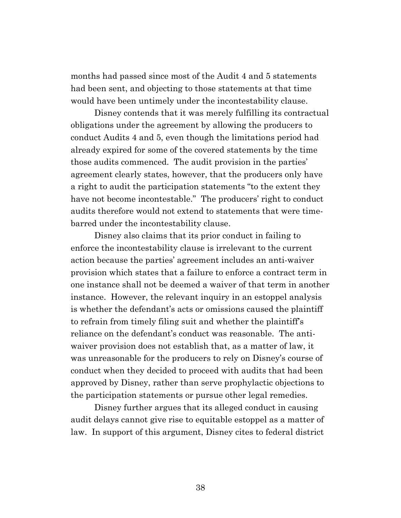months had passed since most of the Audit 4 and 5 statements had been sent, and objecting to those statements at that time would have been untimely under the incontestability clause.

Disney contends that it was merely fulfilling its contractual obligations under the agreement by allowing the producers to conduct Audits 4 and 5, even though the limitations period had already expired for some of the covered statements by the time those audits commenced. The audit provision in the parties' agreement clearly states, however, that the producers only have a right to audit the participation statements "to the extent they have not become incontestable." The producers' right to conduct audits therefore would not extend to statements that were timebarred under the incontestability clause.

Disney also claims that its prior conduct in failing to enforce the incontestability clause is irrelevant to the current action because the parties' agreement includes an anti-waiver provision which states that a failure to enforce a contract term in one instance shall not be deemed a waiver of that term in another instance. However, the relevant inquiry in an estoppel analysis is whether the defendant's acts or omissions caused the plaintiff to refrain from timely filing suit and whether the plaintiff's reliance on the defendant's conduct was reasonable. The antiwaiver provision does not establish that, as a matter of law, it was unreasonable for the producers to rely on Disney's course of conduct when they decided to proceed with audits that had been approved by Disney, rather than serve prophylactic objections to the participation statements or pursue other legal remedies.

Disney further argues that its alleged conduct in causing audit delays cannot give rise to equitable estoppel as a matter of law. In support of this argument, Disney cites to federal district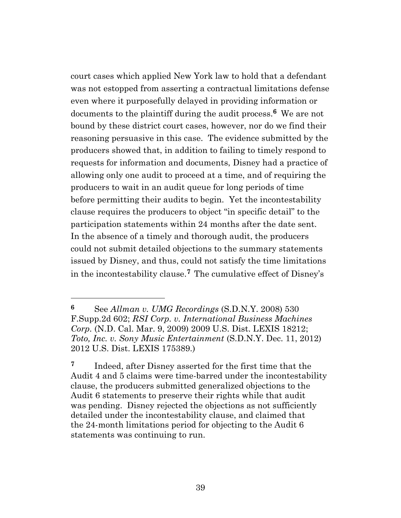court cases which applied New York law to hold that a defendant was not estopped from asserting a contractual limitations defense even where it purposefully delayed in providing information or documents to the plaintiff during the audit process.**<sup>6</sup>** We are not bound by these district court cases, however, nor do we find their reasoning persuasive in this case. The evidence submitted by the producers showed that, in addition to failing to timely respond to requests for information and documents, Disney had a practice of allowing only one audit to proceed at a time, and of requiring the producers to wait in an audit queue for long periods of time before permitting their audits to begin. Yet the incontestability clause requires the producers to object "in specific detail" to the participation statements within 24 months after the date sent. In the absence of a timely and thorough audit, the producers could not submit detailed objections to the summary statements issued by Disney, and thus, could not satisfy the time limitations in the incontestability clause.**<sup>7</sup>** The cumulative effect of Disney's

**<sup>6</sup>** See *Allman v. UMG Recordings* (S.D.N.Y. 2008) 530 F.Supp.2d 602; *RSI Corp. v. International Business Machines Corp.* (N.D. Cal. Mar. 9, 2009) 2009 U.S. Dist. LEXIS 18212; *Toto, Inc. v. Sony Music Entertainment* (S.D.N.Y. Dec. 11, 2012) 2012 U.S. Dist. LEXIS 175389.)

**<sup>7</sup>** Indeed, after Disney asserted for the first time that the Audit 4 and 5 claims were time-barred under the incontestability clause, the producers submitted generalized objections to the Audit 6 statements to preserve their rights while that audit was pending. Disney rejected the objections as not sufficiently detailed under the incontestability clause, and claimed that the 24-month limitations period for objecting to the Audit 6 statements was continuing to run.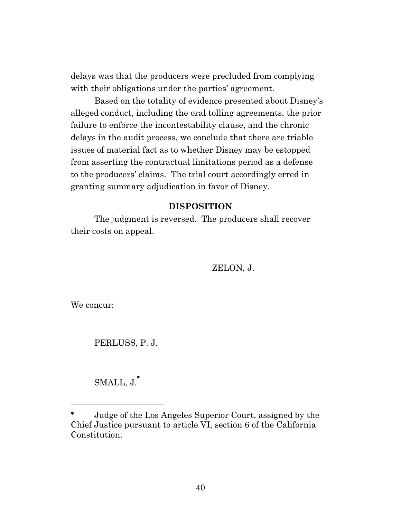delays was that the producers were precluded from complying with their obligations under the parties' agreement.

Based on the totality of evidence presented about Disney's alleged conduct, including the oral tolling agreements, the prior failure to enforce the incontestability clause, and the chronic delays in the audit process, we conclude that there are triable issues of material fact as to whether Disney may be estopped from asserting the contractual limitations period as a defense to the producers' claims. The trial court accordingly erred in granting summary adjudication in favor of Disney.

### **DISPOSITION**

The judgment is reversed. The producers shall recover their costs on appeal.

ZELON, J.

We concur:

PERLUSS, P. J.

SMALL, J.

Judge of the Los Angeles Superior Court, assigned by the Chief Justice pursuant to article VI, section 6 of the California Constitution.